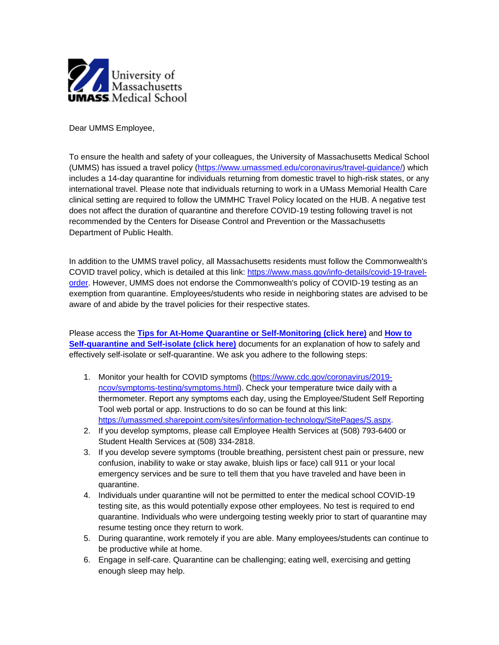

Dear UMMS Employee,

To ensure the health and safety of your colleagues, the University of Massachusetts Medical School (UMMS) has issued a travel policy [\(https://www.umassmed.edu/coronavirus/travel-guidance/\)](https://nam01.safelinks.protection.outlook.com/?url=http%3A%2F%2Fr20.rs6.net%2Ftn.jsp%3Ft%3Dgqlt6vabb.0.0.9mlfaalab.0%26id%3Dpreview%26r%3D3%26p%3Dhttps%253A%252F%252Fwww.umassmed.edu%252Fcoronavirus%252Ftravel-guidance%252F&data=02%7C01%7Cmartha.streeter%40umassmed.edu%7Cdc7ad358b69a40e026f208d83b019c40%7Cee9155fe2da34378a6c44405faf57b2e%7C0%7C0%7C637324225392518416&sdata=kcC9u0NtvbslMQR3wXYlu1vSN6Tpnl2W05ClNigO%2FBo%3D&reserved=0) which includes a 14-day quarantine for individuals returning from domestic travel to high-risk states, or any international travel. Please note that individuals returning to work in a UMass Memorial Health Care clinical setting are required to follow the UMMHC Travel Policy located on the HUB. A negative test does not affect the duration of quarantine and therefore COVID-19 testing following travel is not recommended by the Centers for Disease Control and Prevention or the Massachusetts Department of Public Health.

In addition to the UMMS travel policy, all Massachusetts residents must follow the Commonwealth's COVID travel policy, which is detailed at this link: [https://www.mass.gov/info-details/covid-19-travel](https://nam01.safelinks.protection.outlook.com/?url=http%3A%2F%2Fr20.rs6.net%2Ftn.jsp%3Ft%3Dgqlt6vabb.0.0.9mlfaalab.0%26id%3Dpreview%26r%3D3%26p%3Dhttps%253A%252F%252Fwww.mass.gov%252Finfo-details%252Fcovid-19-travel-order&data=02%7C01%7Cmartha.streeter%40umassmed.edu%7Cdc7ad358b69a40e026f208d83b019c40%7Cee9155fe2da34378a6c44405faf57b2e%7C0%7C0%7C637324225392528413&sdata=0SxpM607YTfCy3kNF6iD0AXdGBWYzX4TgXuRAGScLhM%3D&reserved=0)[order.](https://nam01.safelinks.protection.outlook.com/?url=http%3A%2F%2Fr20.rs6.net%2Ftn.jsp%3Ft%3Dgqlt6vabb.0.0.9mlfaalab.0%26id%3Dpreview%26r%3D3%26p%3Dhttps%253A%252F%252Fwww.mass.gov%252Finfo-details%252Fcovid-19-travel-order&data=02%7C01%7Cmartha.streeter%40umassmed.edu%7Cdc7ad358b69a40e026f208d83b019c40%7Cee9155fe2da34378a6c44405faf57b2e%7C0%7C0%7C637324225392528413&sdata=0SxpM607YTfCy3kNF6iD0AXdGBWYzX4TgXuRAGScLhM%3D&reserved=0) However, UMMS does not endorse the Commonwealth's policy of COVID-19 testing as an exemption from quarantine. Employees/students who reside in neighboring states are advised to be aware of and abide by the travel policies for their respective states.

Please access the **[Tips for At-Home Quarantine or Self-Monitoring \(click here\)](https://nam01.safelinks.protection.outlook.com/?url=http%3A%2F%2Fr20.rs6.net%2Ftn.jsp%3Ft%3Dgqlt6vabb.0.0.9mlfaalab.0%26id%3Dpreview%26r%3D3%26p%3Dhttps%253A%252F%252Fwww.umassmed.edu%252Fglobalassets%252Fhuman-resources%252Fdocuments%252Fselfquarantineflyer.pdf&data=02%7C01%7Cmartha.streeter%40umassmed.edu%7Cdc7ad358b69a40e026f208d83b019c40%7Cee9155fe2da34378a6c44405faf57b2e%7C0%7C1%7C637324225392528413&sdata=EPPpXphVSGWjKwo4xPC7chDt6hyPQfVa0X6mjmuhyGU%3D&reserved=0)** and **[How to](https://nam01.safelinks.protection.outlook.com/?url=http%3A%2F%2Fr20.rs6.net%2Ftn.jsp%3Ft%3Dgqlt6vabb.0.0.9mlfaalab.0%26id%3Dpreview%26r%3D3%26p%3Dhttps%253A%252F%252Fwww.umassmed.edu%252Fglobalassets%252Fhuman-resources%252Fdocuments%252Fself-quarantine-self-isolation-for-public.pdf&data=02%7C01%7Cmartha.streeter%40umassmed.edu%7Cdc7ad358b69a40e026f208d83b019c40%7Cee9155fe2da34378a6c44405faf57b2e%7C0%7C1%7C637324225392538408&sdata=tKn8PC1rhbc%2BHLBr8V7%2FaT3YVKUoV52w1pK02J4YXOs%3D&reserved=0)  [Self-quarantine and Self-isolate \(click here\)](https://nam01.safelinks.protection.outlook.com/?url=http%3A%2F%2Fr20.rs6.net%2Ftn.jsp%3Ft%3Dgqlt6vabb.0.0.9mlfaalab.0%26id%3Dpreview%26r%3D3%26p%3Dhttps%253A%252F%252Fwww.umassmed.edu%252Fglobalassets%252Fhuman-resources%252Fdocuments%252Fself-quarantine-self-isolation-for-public.pdf&data=02%7C01%7Cmartha.streeter%40umassmed.edu%7Cdc7ad358b69a40e026f208d83b019c40%7Cee9155fe2da34378a6c44405faf57b2e%7C0%7C1%7C637324225392538408&sdata=tKn8PC1rhbc%2BHLBr8V7%2FaT3YVKUoV52w1pK02J4YXOs%3D&reserved=0)** documents for an explanation of how to safely and effectively self-isolate or self-quarantine. We ask you adhere to the following steps:

- 1. Monitor your health for COVID symptoms [\(https://www.cdc.gov/coronavirus/2019](https://nam01.safelinks.protection.outlook.com/?url=http%3A%2F%2Fr20.rs6.net%2Ftn.jsp%3Ft%3Dgqlt6vabb.0.0.9mlfaalab.0%26id%3Dpreview%26r%3D3%26p%3Dhttps%253A%252F%252Fwww.cdc.gov%252Fcoronavirus%252F2019-ncov%252Fsymptoms-testing%252Fsymptoms.html&data=02%7C01%7Cmartha.streeter%40umassmed.edu%7Cdc7ad358b69a40e026f208d83b019c40%7Cee9155fe2da34378a6c44405faf57b2e%7C0%7C0%7C637324225392548401&sdata=4QabeVoech8yjz5t2%2FINGU2QTA5O178lSkEK38FAFvY%3D&reserved=0) [ncov/symptoms-testing/symptoms.html\)](https://nam01.safelinks.protection.outlook.com/?url=http%3A%2F%2Fr20.rs6.net%2Ftn.jsp%3Ft%3Dgqlt6vabb.0.0.9mlfaalab.0%26id%3Dpreview%26r%3D3%26p%3Dhttps%253A%252F%252Fwww.cdc.gov%252Fcoronavirus%252F2019-ncov%252Fsymptoms-testing%252Fsymptoms.html&data=02%7C01%7Cmartha.streeter%40umassmed.edu%7Cdc7ad358b69a40e026f208d83b019c40%7Cee9155fe2da34378a6c44405faf57b2e%7C0%7C0%7C637324225392548401&sdata=4QabeVoech8yjz5t2%2FINGU2QTA5O178lSkEK38FAFvY%3D&reserved=0). Check your temperature twice daily with a thermometer. Report any symptoms each day, using the Employee/Student Self Reporting Tool web portal or app. Instructions to do so can be found at this link: [https://umassmed.sharepoint.com/sites/information-technology/SitePages/S.aspx.](https://nam01.safelinks.protection.outlook.com/?url=http%3A%2F%2Fr20.rs6.net%2Ftn.jsp%3Ft%3Dgqlt6vabb.0.0.9mlfaalab.0%26id%3Dpreview%26r%3D3%26p%3Dhttps%253A%252F%252Fumassmed.sharepoint.com%252Fsites%252Finformation-technology%252FSitePages%252FS.aspx&data=02%7C01%7Cmartha.streeter%40umassmed.edu%7Cdc7ad358b69a40e026f208d83b019c40%7Cee9155fe2da34378a6c44405faf57b2e%7C0%7C0%7C637324225392548401&sdata=%2BZQt87ZTToOWtTjL3DONrh9HKFhOUKH0Tv05PVKRjzY%3D&reserved=0)
- 2. If you develop symptoms, please call Employee Health Services at (508) 793-6400 or Student Health Services at (508) 334-2818.
- 3. If you develop severe symptoms (trouble breathing, persistent chest pain or pressure, new confusion, inability to wake or stay awake, bluish lips or face) call 911 or your local emergency services and be sure to tell them that you have traveled and have been in quarantine.
- 4. Individuals under quarantine will not be permitted to enter the medical school COVID-19 testing site, as this would potentially expose other employees. No test is required to end quarantine. Individuals who were undergoing testing weekly prior to start of quarantine may resume testing once they return to work.
- 5. During quarantine, work remotely if you are able. Many employees/students can continue to be productive while at home.
- 6. Engage in self-care. Quarantine can be challenging; eating well, exercising and getting enough sleep may help.